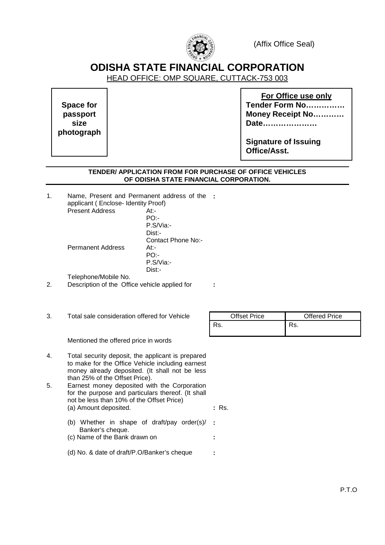

(Affix Office Seal)

# **ODISHA STATE FINANCIAL CORPORATION**

HEAD OFFICE: OMP SQUARE, CUTTACK-753 003

**Space for passport size photograph** 

**For Office use only Tender Form No…………… Money Receipt No………… Date…………………**

**Signature of Issuing Office/Asst.** 

## **TENDER/ APPLICATION FROM FOR PURCHASE OF OFFICE VEHICLES OF ODISHA STATE FINANCIAL CORPORATION.**

| Name, Present and Permanent address of the : |
|----------------------------------------------|
|                                              |
|                                              |
|                                              |
|                                              |
|                                              |
|                                              |
|                                              |
|                                              |
|                                              |
|                                              |
|                                              |
|                                              |

| $\sim$<br>Total sale consideration offered for Vehicle<br>ა. | <b>Offset Price</b> | <b>Offered Price</b> |
|--------------------------------------------------------------|---------------------|----------------------|
|                                                              | Rs.                 | Rs.                  |

Mentioned the offered price in words

- 4. Total security deposit, the applicant is prepared to make for the Office Vehicle including earnest money already deposited. (It shall not be less than 25% of the Offset Price).
- 5. Earnest money deposited with the Corporation for the purpose and particulars thereof. (It shall not be less than 10% of the Offset Price) (a) Amount deposited. **:** Rs.
	- (b) Whether in shape of draft/pay order(s)/ Banker's cheque. **:**  (c) Name of the Bank drawn on **:**
	-
	- (d) No. & date of draft/P.O/Banker's cheque **:**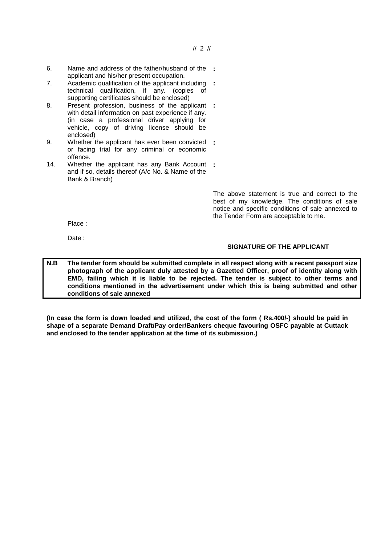- 6. Name and address of the father/husband of the **:**  applicant and his/her present occupation.
- 7. Academic qualification of the applicant including **:**  technical qualification, if any. (copies of supporting certificates should be enclosed)
- 8. Present profession, business of the applicant **:**  with detail information on past experience if any. (in case a professional driver applying for vehicle, copy of driving license should be enclosed)
- 9. Whether the applicant has ever been convicted **:**  or facing trial for any criminal or economic offence.
- 14. Whether the applicant has any Bank Account **:**  and if so, details thereof (A/c No. & Name of the Bank & Branch)

 The above statement is true and correct to the best of my knowledge. The conditions of sale notice and specific conditions of sale annexed to the Tender Form are acceptable to me.

Place :

Date :

### **SIGNATURE OF THE APPLICANT**

**N.B The tender form should be submitted complete in all respect along with a recent passport size photograph of the applicant duly attested by a Gazetted Officer, proof of identity along with EMD, failing which it is liable to be rejected. The tender is subject to other terms and conditions mentioned in the advertisement under which this is being submitted and other conditions of sale annexed**

**(In case the form is down loaded and utilized, the cost of the form ( Rs.400/-) should be paid in shape of a separate Demand Draft/Pay order/Bankers cheque favouring OSFC payable at Cuttack and enclosed to the tender application at the time of its submission.)**